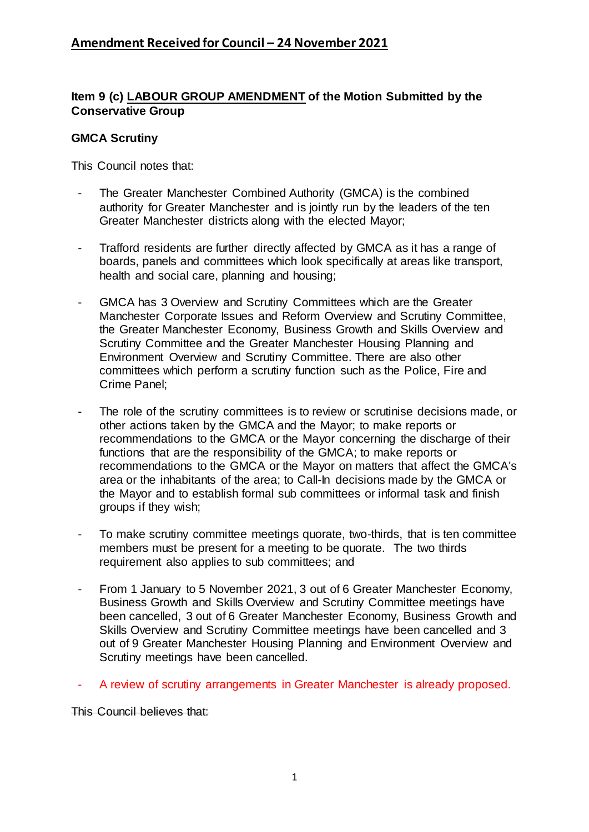## **Item 9 (c) LABOUR GROUP AMENDMENT of the Motion Submitted by the Conservative Group**

## **GMCA Scrutiny**

This Council notes that:

- The Greater Manchester Combined Authority (GMCA) is the combined authority for Greater Manchester and is jointly run by the leaders of the ten Greater Manchester districts along with the elected Mayor;
- Trafford residents are further directly affected by GMCA as it has a range of boards, panels and committees which look specifically at areas like transport, health and social care, planning and housing;
- GMCA has 3 Overview and Scrutiny Committees which are the Greater Manchester Corporate Issues and Reform Overview and Scrutiny Committee, the Greater Manchester Economy, Business Growth and Skills Overview and Scrutiny Committee and the Greater Manchester Housing Planning and Environment Overview and Scrutiny Committee. There are also other committees which perform a scrutiny function such as the Police, Fire and Crime Panel;
- The role of the scrutiny committees is to review or scrutinise decisions made, or other actions taken by the GMCA and the Mayor; to make reports or recommendations to the GMCA or the Mayor concerning the discharge of their functions that are the responsibility of the GMCA; to make reports or recommendations to the GMCA or the Mayor on matters that affect the GMCA's area or the inhabitants of the area; to Call-In decisions made by the GMCA or the Mayor and to establish formal sub committees or informal task and finish groups if they wish;
- To make scrutiny committee meetings quorate, two-thirds, that is ten committee members must be present for a meeting to be quorate. The two thirds requirement also applies to sub committees; and
- From 1 January to 5 November 2021, 3 out of 6 Greater Manchester Economy, Business Growth and Skills Overview and Scrutiny Committee meetings have been cancelled, 3 out of 6 Greater Manchester Economy, Business Growth and Skills Overview and Scrutiny Committee meetings have been cancelled and 3 out of 9 Greater Manchester Housing Planning and Environment Overview and Scrutiny meetings have been cancelled.
- A review of scrutiny arrangements in Greater Manchester is already proposed.

This Council believes that: